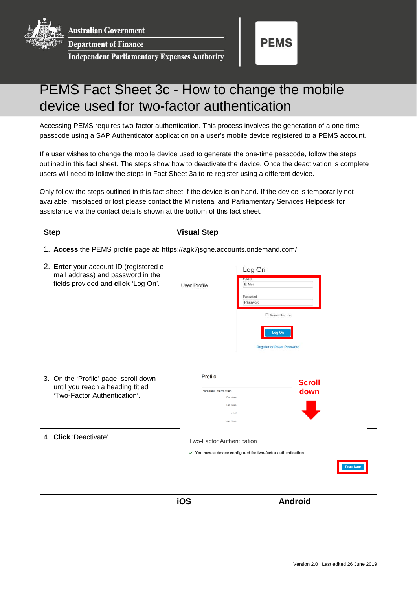**Australian Government** 

**Department of Finance** 

**Independent Parliamentary Expenses Authority** 



## PEMS Fact Sheet 3c - How to change the mobile device used for two-factor authentication

Accessing PEMS requires two-factor authentication. This process involves the generation of a one-time passcode using a SAP Authenticator application on a user's mobile device registered to a PEMS account.

If a user wishes to change the mobile device used to generate the one-time passcode, follow the steps outlined in this fact sheet. The steps show how to deactivate the device. Once the deactivation is complete users will need to follow the steps in Fact Sheet 3a to re-register using a different device.

Only follow the steps outlined in this fact sheet if the device is on hand. If the device is temporarily not available, misplaced or lost please contact the Ministerial and Parliamentary Services Helpdesk for assistance via the contact details shown at the bottom of this fact sheet.

| <b>Step</b>                                                                                                         | <b>Visual Step</b>                                                                                                                   |                                                                   |
|---------------------------------------------------------------------------------------------------------------------|--------------------------------------------------------------------------------------------------------------------------------------|-------------------------------------------------------------------|
| 1. Access the PEMS profile page at: https://agk7jsghe.accounts.ondemand.com/                                        |                                                                                                                                      |                                                                   |
| 2. Enter your account ID (registered e-<br>mail address) and password in the<br>fields provided and click 'Log On'. | Log On<br>E-Mail<br>E-Mail<br><b>User Profile</b><br>Password<br>Password                                                            | $\Box$ Remember me<br>Log On<br><b>Register or Reset Password</b> |
| 3. On the 'Profile' page, scroll down<br>until you reach a heading titled<br>'Two-Factor Authentication'.           | Profile<br>Personal Information<br><b>First Name</b><br><b>Last Name</b><br>E-mail<br>Login Name                                     | <b>Scroll</b><br>down                                             |
| 4. Click 'Deactivate'.                                                                                              | Neolau Mare<br><b>Two-Factor Authentication</b><br>√ You have a device configured for two-factor authentication<br><b>Deactivate</b> |                                                                   |
|                                                                                                                     | iOS                                                                                                                                  | <b>Android</b>                                                    |